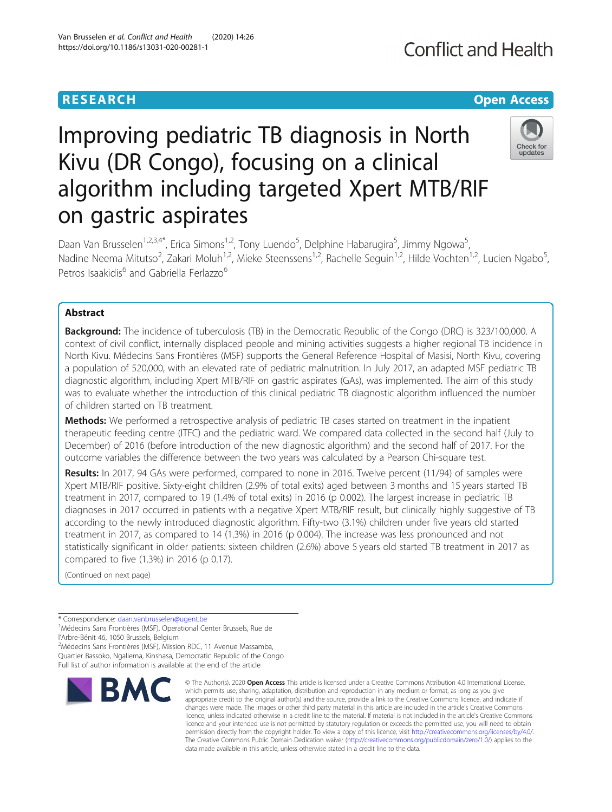# **RESEARCH CHINESE ARCH CHINESE ARCHITECT ARCHITECT ARCHITECT ARCHITECT ARCHITECT ARCHITECT ARCHITECT ARCHITECT ARCHITECT ARCHITECT ARCHITECT ARCHITECT ARCHITECT ARCHITECT ARCHITECT ARCHITECT ARCHITECT ARCHITECT ARCHITE**

# Improving pediatric TB diagnosis in North Kivu (DR Congo), focusing on a clinical algorithm including targeted Xpert MTB/RIF on gastric aspirates



Daan Van Brusselen<sup>1,2,3,4\*</sup>, Erica Simons<sup>1,2</sup>, Tony Luendo<sup>5</sup>, Delphine Habarugira<sup>5</sup>, Jimmy Ngowa<sup>5</sup> , Nadine Neema Mitutso<sup>2</sup>, Zakari Moluh<sup>1,2</sup>, Mieke Steenssens<sup>1,2</sup>, Rachelle Seguin<sup>1,2</sup>, Hilde Vochten<sup>1,2</sup>, Lucien Ngabo<sup>5</sup> , Petros Isaakidis<sup>6</sup> and Gabriella Ferlazzo<sup>6</sup>

## Abstract

**Background:** The incidence of tuberculosis (TB) in the Democratic Republic of the Congo (DRC) is 323/100,000. A context of civil conflict, internally displaced people and mining activities suggests a higher regional TB incidence in North Kivu. Médecins Sans Frontières (MSF) supports the General Reference Hospital of Masisi, North Kivu, covering a population of 520,000, with an elevated rate of pediatric malnutrition. In July 2017, an adapted MSF pediatric TB diagnostic algorithm, including Xpert MTB/RIF on gastric aspirates (GAs), was implemented. The aim of this study was to evaluate whether the introduction of this clinical pediatric TB diagnostic algorithm influenced the number of children started on TB treatment.

Methods: We performed a retrospective analysis of pediatric TB cases started on treatment in the inpatient therapeutic feeding centre (ITFC) and the pediatric ward. We compared data collected in the second half (July to December) of 2016 (before introduction of the new diagnostic algorithm) and the second half of 2017. For the outcome variables the difference between the two years was calculated by a Pearson Chi-square test.

Results: In 2017, 94 GAs were performed, compared to none in 2016. Twelve percent (11/94) of samples were Xpert MTB/RIF positive. Sixty-eight children (2.9% of total exits) aged between 3 months and 15 years started TB treatment in 2017, compared to 19 (1.4% of total exits) in 2016 (p 0.002). The largest increase in pediatric TB diagnoses in 2017 occurred in patients with a negative Xpert MTB/RIF result, but clinically highly suggestive of TB according to the newly introduced diagnostic algorithm. Fifty-two (3.1%) children under five years old started treatment in 2017, as compared to 14 (1.3%) in 2016 (p 0.004). The increase was less pronounced and not statistically significant in older patients: sixteen children (2.6%) above 5 years old started TB treatment in 2017 as compared to five (1.3%) in 2016 (p 0.17).

(Continued on next page)

\* Correspondence: [daan.vanbrusselen@ugent.be](mailto:daan.vanbrusselen@ugent.be) <sup>1</sup>

<sup>1</sup>Médecins Sans Frontières (MSF), Operational Center Brussels, Rue de l'Arbre-Bénit 46, 1050 Brussels, Belgium

2 Médecins Sans Frontières (MSF), Mission RDC, 11 Avenue Massamba, Quartier Bassoko, Ngaliema, Kinshasa, Democratic Republic of the Congo Full list of author information is available at the end of the article



© The Author(s), 2020 **Open Access** This article is licensed under a Creative Commons Attribution 4.0 International License, which permits use, sharing, adaptation, distribution and reproduction in any medium or format, as long as you give appropriate credit to the original author(s) and the source, provide a link to the Creative Commons licence, and indicate if changes were made. The images or other third party material in this article are included in the article's Creative Commons licence, unless indicated otherwise in a credit line to the material. If material is not included in the article's Creative Commons licence and your intended use is not permitted by statutory regulation or exceeds the permitted use, you will need to obtain permission directly from the copyright holder. To view a copy of this licence, visit [http://creativecommons.org/licenses/by/4.0/.](http://creativecommons.org/licenses/by/4.0/) The Creative Commons Public Domain Dedication waiver [\(http://creativecommons.org/publicdomain/zero/1.0/](http://creativecommons.org/publicdomain/zero/1.0/)) applies to the data made available in this article, unless otherwise stated in a credit line to the data.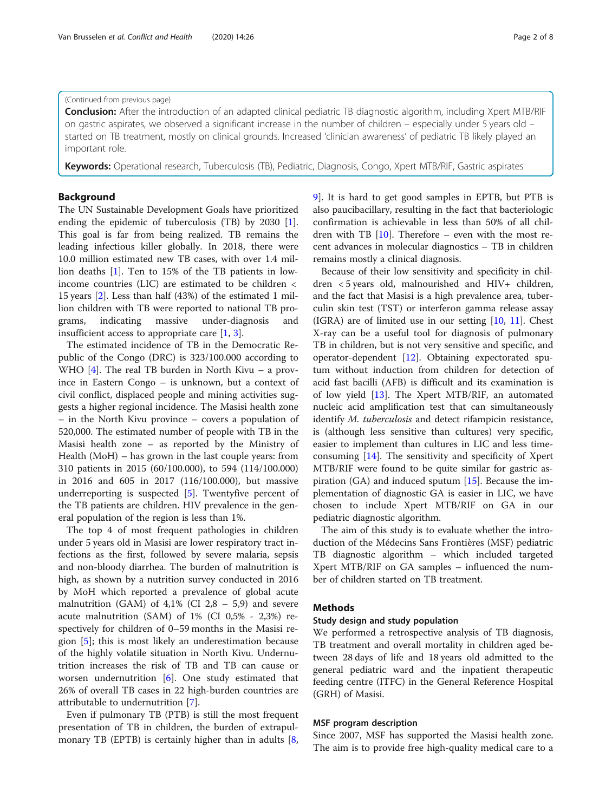#### (Continued from previous page)

Conclusion: After the introduction of an adapted clinical pediatric TB diagnostic algorithm, including Xpert MTB/RIF on gastric aspirates, we observed a significant increase in the number of children – especially under 5 years old – started on TB treatment, mostly on clinical grounds. Increased 'clinician awareness' of pediatric TB likely played an important role.

Keywords: Operational research, Tuberculosis (TB), Pediatric, Diagnosis, Congo, Xpert MTB/RIF, Gastric aspirates

#### Background

The UN Sustainable Development Goals have prioritized ending the epidemic of tuberculosis (TB) by 2030 [\[1](#page-6-0)]. This goal is far from being realized. TB remains the leading infectious killer globally. In 2018, there were 10.0 million estimated new TB cases, with over 1.4 million deaths [\[1](#page-6-0)]. Ten to 15% of the TB patients in lowincome countries (LIC) are estimated to be children < 15 years [\[2](#page-6-0)]. Less than half (43%) of the estimated 1 million children with TB were reported to national TB programs, indicating massive under-diagnosis and insufficient access to appropriate care [\[1](#page-6-0), [3](#page-6-0)].

The estimated incidence of TB in the Democratic Republic of the Congo (DRC) is 323/100.000 according to WHO  $[4]$  $[4]$ . The real TB burden in North Kivu – a province in Eastern Congo – is unknown, but a context of civil conflict, displaced people and mining activities suggests a higher regional incidence. The Masisi health zone – in the North Kivu province – covers a population of 520,000. The estimated number of people with TB in the Masisi health zone – as reported by the Ministry of Health (MoH) – has grown in the last couple years: from 310 patients in 2015 (60/100.000), to 594 (114/100.000) in 2016 and 605 in 2017 (116/100.000), but massive underreporting is suspected [\[5](#page-6-0)]. Twentyfive percent of the TB patients are children. HIV prevalence in the general population of the region is less than 1%.

The top 4 of most frequent pathologies in children under 5 years old in Masisi are lower respiratory tract infections as the first, followed by severe malaria, sepsis and non-bloody diarrhea. The burden of malnutrition is high, as shown by a nutrition survey conducted in 2016 by MoH which reported a prevalence of global acute malnutrition (GAM) of  $4,1\%$  (CI 2,8 – 5,9) and severe acute malnutrition (SAM) of 1% (CI 0,5% - 2,3%) respectively for children of 0–59 months in the Masisi region [[5\]](#page-6-0); this is most likely an underestimation because of the highly volatile situation in North Kivu. Undernutrition increases the risk of TB and TB can cause or worsen undernutrition [[6\]](#page-6-0). One study estimated that 26% of overall TB cases in 22 high-burden countries are attributable to undernutrition [\[7](#page-6-0)].

Even if pulmonary TB (PTB) is still the most frequent presentation of TB in children, the burden of extrapul-monary TB (EPTB) is certainly higher than in adults [\[8](#page-6-0), [9\]](#page-6-0). It is hard to get good samples in EPTB, but PTB is also paucibacillary, resulting in the fact that bacteriologic confirmation is achievable in less than 50% of all children with TB  $[10]$  $[10]$  $[10]$ . Therefore – even with the most recent advances in molecular diagnostics – TB in children remains mostly a clinical diagnosis.

Because of their low sensitivity and specificity in children < 5 years old, malnourished and HIV+ children, and the fact that Masisi is a high prevalence area, tuberculin skin test (TST) or interferon gamma release assay  $(IGRA)$  are of limited use in our setting  $[10, 11]$  $[10, 11]$  $[10, 11]$  $[10, 11]$ . Chest X-ray can be a useful tool for diagnosis of pulmonary TB in children, but is not very sensitive and specific, and operator-dependent [[12\]](#page-6-0). Obtaining expectorated sputum without induction from children for detection of acid fast bacilli (AFB) is difficult and its examination is of low yield [\[13](#page-6-0)]. The Xpert MTB/RIF, an automated nucleic acid amplification test that can simultaneously identify *M. tuberculosis* and detect rifampicin resistance, is (although less sensitive than cultures) very specific, easier to implement than cultures in LIC and less timeconsuming [[14\]](#page-6-0). The sensitivity and specificity of Xpert MTB/RIF were found to be quite similar for gastric aspiration  $(GA)$  and induced sputum  $[15]$  $[15]$  $[15]$ . Because the implementation of diagnostic GA is easier in LIC, we have chosen to include Xpert MTB/RIF on GA in our pediatric diagnostic algorithm.

The aim of this study is to evaluate whether the introduction of the Médecins Sans Frontières (MSF) pediatric TB diagnostic algorithm – which included targeted Xpert MTB/RIF on GA samples – influenced the number of children started on TB treatment.

#### **Methods**

#### Study design and study population

We performed a retrospective analysis of TB diagnosis, TB treatment and overall mortality in children aged between 28 days of life and 18 years old admitted to the general pediatric ward and the inpatient therapeutic feeding centre (ITFC) in the General Reference Hospital (GRH) of Masisi.

#### MSF program description

Since 2007, MSF has supported the Masisi health zone. The aim is to provide free high-quality medical care to a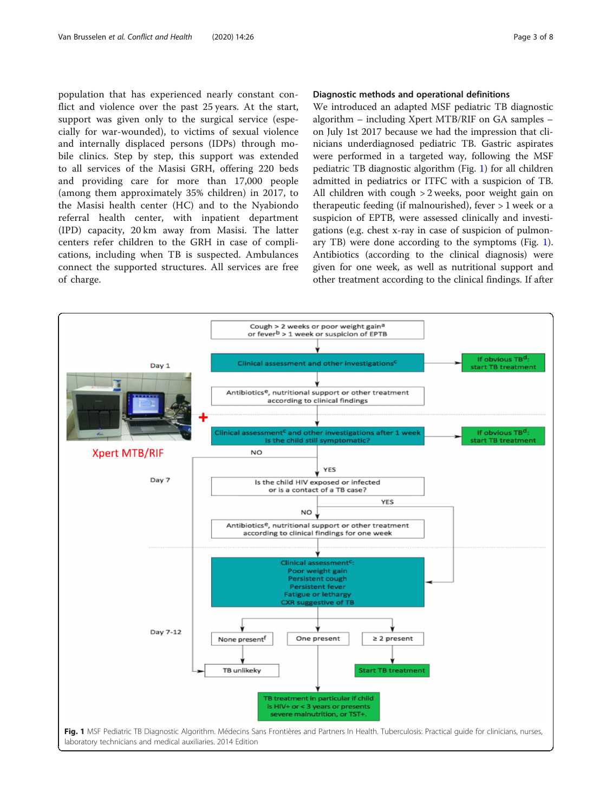<span id="page-2-0"></span>population that has experienced nearly constant conflict and violence over the past 25 years. At the start, support was given only to the surgical service (especially for war-wounded), to victims of sexual violence and internally displaced persons (IDPs) through mobile clinics. Step by step, this support was extended to all services of the Masisi GRH, offering 220 beds and providing care for more than 17,000 people (among them approximately 35% children) in 2017, to the Masisi health center (HC) and to the Nyabiondo referral health center, with inpatient department (IPD) capacity, 20 km away from Masisi. The latter centers refer children to the GRH in case of complications, including when TB is suspected. Ambulances connect the supported structures. All services are free of charge.

#### Diagnostic methods and operational definitions

We introduced an adapted MSF pediatric TB diagnostic algorithm – including Xpert MTB/RIF on GA samples – on July 1st 2017 because we had the impression that clinicians underdiagnosed pediatric TB. Gastric aspirates were performed in a targeted way, following the MSF pediatric TB diagnostic algorithm (Fig. 1) for all children admitted in pediatrics or ITFC with a suspicion of TB. All children with cough > 2 weeks, poor weight gain on therapeutic feeding (if malnourished), fever > 1 week or a suspicion of EPTB, were assessed clinically and investigations (e.g. chest x-ray in case of suspicion of pulmonary TB) were done according to the symptoms (Fig. 1). Antibiotics (according to the clinical diagnosis) were given for one week, as well as nutritional support and other treatment according to the clinical findings. If after

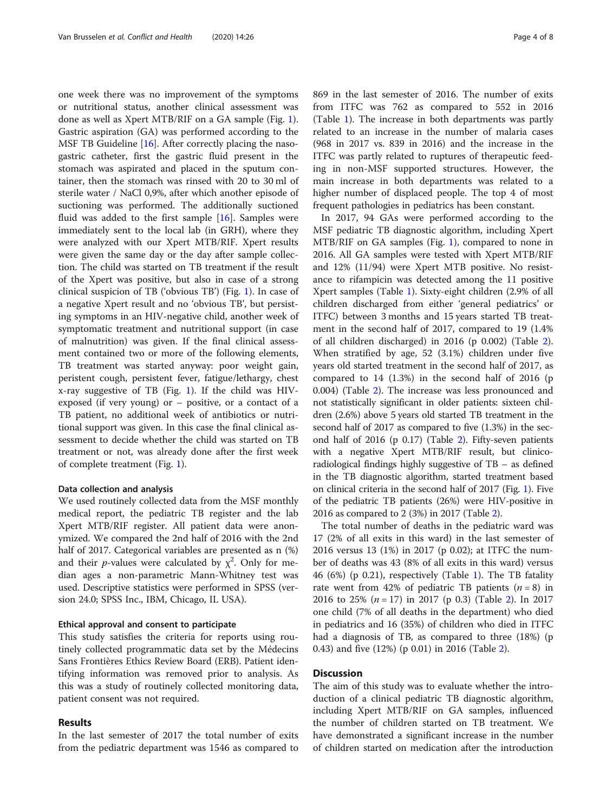one week there was no improvement of the symptoms or nutritional status, another clinical assessment was done as well as Xpert MTB/RIF on a GA sample (Fig. [1](#page-2-0)). Gastric aspiration (GA) was performed according to the MSF TB Guideline [[16\]](#page-6-0). After correctly placing the nasogastric catheter, first the gastric fluid present in the stomach was aspirated and placed in the sputum container, then the stomach was rinsed with 20 to 30 ml of sterile water / NaCl 0,9%, after which another episode of suctioning was performed. The additionally suctioned fluid was added to the first sample [[16\]](#page-6-0). Samples were immediately sent to the local lab (in GRH), where they were analyzed with our Xpert MTB/RIF. Xpert results were given the same day or the day after sample collection. The child was started on TB treatment if the result of the Xpert was positive, but also in case of a strong clinical suspicion of TB ('obvious TB') (Fig. [1](#page-2-0)). In case of a negative Xpert result and no 'obvious TB', but persisting symptoms in an HIV-negative child, another week of symptomatic treatment and nutritional support (in case of malnutrition) was given. If the final clinical assessment contained two or more of the following elements, TB treatment was started anyway: poor weight gain, peristent cough, persistent fever, fatigue/lethargy, chest x-ray suggestive of TB (Fig. [1\)](#page-2-0). If the child was HIVexposed (if very young) or – positive, or a contact of a TB patient, no additional week of antibiotics or nutritional support was given. In this case the final clinical assessment to decide whether the child was started on TB treatment or not, was already done after the first week of complete treatment (Fig. [1](#page-2-0)).

#### Data collection and analysis

We used routinely collected data from the MSF monthly medical report, the pediatric TB register and the lab Xpert MTB/RIF register. All patient data were anonymized. We compared the 2nd half of 2016 with the 2nd half of 2017. Categorical variables are presented as n (%) and their *p*-values were calculated by  $\chi^2$ . Only for median ages a non-parametric Mann-Whitney test was used. Descriptive statistics were performed in SPSS (version 24.0; SPSS Inc., IBM, Chicago, IL USA).

#### Ethical approval and consent to participate

This study satisfies the criteria for reports using routinely collected programmatic data set by the Médecins Sans Frontières Ethics Review Board (ERB). Patient identifying information was removed prior to analysis. As this was a study of routinely collected monitoring data, patient consent was not required.

#### Results

In the last semester of 2017 the total number of exits from the pediatric department was 1546 as compared to

869 in the last semester of 2016. The number of exits from ITFC was 762 as compared to 552 in 2016 (Table [1\)](#page-4-0). The increase in both departments was partly related to an increase in the number of malaria cases (968 in 2017 vs. 839 in 2016) and the increase in the ITFC was partly related to ruptures of therapeutic feeding in non-MSF supported structures. However, the main increase in both departments was related to a higher number of displaced people. The top 4 of most frequent pathologies in pediatrics has been constant.

In 2017, 94 GAs were performed according to the MSF pediatric TB diagnostic algorithm, including Xpert MTB/RIF on GA samples (Fig. [1\)](#page-2-0), compared to none in 2016. All GA samples were tested with Xpert MTB/RIF and 12% (11/94) were Xpert MTB positive. No resistance to rifampicin was detected among the 11 positive Xpert samples (Table [1\)](#page-4-0). Sixty-eight children (2.9% of all children discharged from either 'general pediatrics' or ITFC) between 3 months and 15 years started TB treatment in the second half of 2017, compared to 19 (1.4% of all children discharged) in 2016 (p 0.002) (Table [2](#page-4-0)). When stratified by age, 52 (3.1%) children under five years old started treatment in the second half of 2017, as compared to 14 (1.3%) in the second half of 2016 (p 0.004) (Table [2](#page-4-0)). The increase was less pronounced and not statistically significant in older patients: sixteen children (2.6%) above 5 years old started TB treatment in the second half of 2017 as compared to five (1.3%) in the second half of 2016 (p 0.17) (Table [2](#page-4-0)). Fifty-seven patients with a negative Xpert MTB/RIF result, but clinicoradiological findings highly suggestive of TB – as defined in the TB diagnostic algorithm, started treatment based on clinical criteria in the second half of 2017 (Fig. [1](#page-2-0)). Five of the pediatric TB patients (26%) were HIV-positive in 2016 as compared to 2 (3%) in 2017 (Table [2\)](#page-4-0).

The total number of deaths in the pediatric ward was 17 (2% of all exits in this ward) in the last semester of 2016 versus 13 (1%) in 2017 (p 0.02); at ITFC the number of deaths was 43 (8% of all exits in this ward) versus 46 (6%) (p 0.21), respectively (Table [1](#page-4-0)). The TB fatality rate went from 42% of pediatric TB patients  $(n = 8)$  in [2](#page-4-0)016 to 25% ( $n = 17$ ) in 2017 (p 0.3) (Table 2). In 2017 one child (7% of all deaths in the department) who died in pediatrics and 16 (35%) of children who died in ITFC had a diagnosis of TB, as compared to three (18%) (p 0.43) and five (12%) (p 0.01) in 2016 (Table [2\)](#page-4-0).

#### Discussion

The aim of this study was to evaluate whether the introduction of a clinical pediatric TB diagnostic algorithm, including Xpert MTB/RIF on GA samples, influenced the number of children started on TB treatment. We have demonstrated a significant increase in the number of children started on medication after the introduction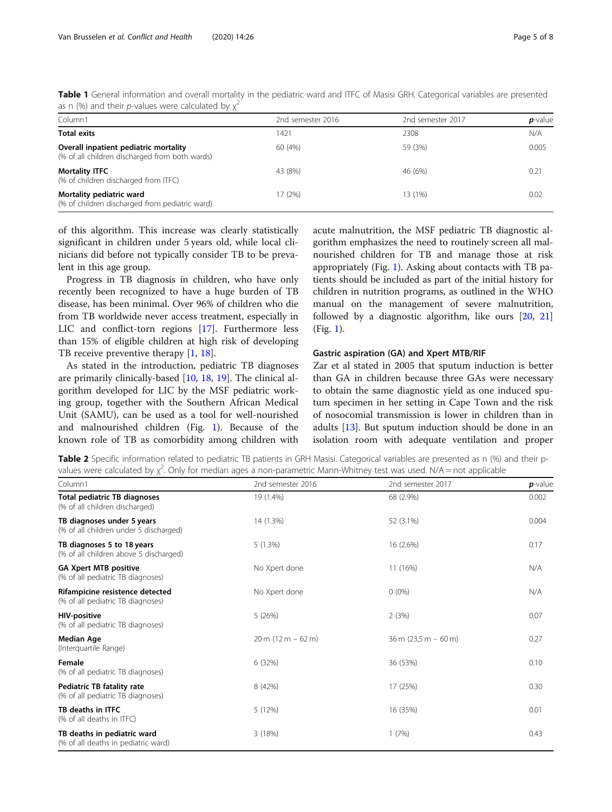| Column1                                                                                 | 2nd semester 2016 | 2nd semester 2017 | $p$ -value |
|-----------------------------------------------------------------------------------------|-------------------|-------------------|------------|
| <b>Total exits</b>                                                                      | 1421              | 2308              | N/A        |
| Overall inpatient pediatric mortality<br>(% of all children discharged from both wards) | 60 (4%)           | 59 (3%)           | 0.005      |
| <b>Mortality ITFC</b><br>(% of children discharged from ITFC)                           | 43 (8%)           | 46 (6%)           | 0.21       |
| Mortality pediatric ward<br>(% of children discharged from pediatric ward)              | 17 (2%)           | 13 (1%)           | 0.02       |

<span id="page-4-0"></span>Table 1 General information and overall mortality in the pediatric ward and ITFC of Masisi GRH. Categorical variables are presented as n (%) and their p-values were calculated by  $\chi^2$ 

of this algorithm. This increase was clearly statistically significant in children under 5 years old, while local clinicians did before not typically consider TB to be prevalent in this age group.

Progress in TB diagnosis in children, who have only recently been recognized to have a huge burden of TB disease, has been minimal. Over 96% of children who die from TB worldwide never access treatment, especially in LIC and conflict-torn regions [\[17](#page-6-0)]. Furthermore less than 15% of eligible children at high risk of developing TB receive preventive therapy [\[1](#page-6-0), [18\]](#page-6-0).

As stated in the introduction, pediatric TB diagnoses are primarily clinically-based [[10,](#page-6-0) [18,](#page-6-0) [19\]](#page-6-0). The clinical algorithm developed for LIC by the MSF pediatric working group, together with the Southern African Medical Unit (SAMU), can be used as a tool for well-nourished and malnourished children (Fig. [1](#page-2-0)). Because of the known role of TB as comorbidity among children with acute malnutrition, the MSF pediatric TB diagnostic algorithm emphasizes the need to routinely screen all malnourished children for TB and manage those at risk appropriately (Fig. [1](#page-2-0)). Asking about contacts with TB patients should be included as part of the initial history for children in nutrition programs, as outlined in the WHO manual on the management of severe malnutrition, followed by a diagnostic algorithm, like ours [\[20](#page-6-0), [21](#page-6-0)] (Fig. [1](#page-2-0)).

#### Gastric aspiration (GA) and Xpert MTB/RIF

Zar et al stated in 2005 that sputum induction is better than GA in children because three GAs were necessary to obtain the same diagnostic yield as one induced sputum specimen in her setting in Cape Town and the risk of nosocomial transmission is lower in children than in adults [[13\]](#page-6-0). But sputum induction should be done in an isolation room with adequate ventilation and proper

Table 2 Specific information related to pediatric TB patients in GRH Masisi. Categorical variables are presented as n (%) and their pvalues were calculated by  $\chi^2$ . Only for median ages a non-parametric Mann-Whitney test was used. N/A = not applicable

| Column1                                                               | 2nd semester 2016    | 2nd semester 2017                        | $p$ -value |
|-----------------------------------------------------------------------|----------------------|------------------------------------------|------------|
| <b>Total pediatric TB diagnoses</b><br>(% of all children discharged) | 19 (1.4%)            | 68 (2.9%)                                | 0.002      |
| TB diagnoses under 5 years<br>(% of all children under 5 discharged)  | 14 (1.3%)            | 52 (3.1%)                                | 0.004      |
| TB diagnoses 5 to 18 years<br>(% of all children above 5 discharged)  | 5(1.3%)              | 16 (2.6%)                                | 0.17       |
| <b>GA Xpert MTB positive</b><br>(% of all pediatric TB diagnoses)     | No Xpert done        | 11 (16%)                                 | N/A        |
| Rifampicine resistence detected<br>(% of all pediatric TB diagnoses)  | No Xpert done        | $0(0\%)$                                 | N/A        |
| <b>HIV-positive</b><br>(% of all pediatric TB diagnoses)              | 5(26%)               | 2(3%)                                    | 0.07       |
| Median Age<br>(Interquartile Range)                                   | $20 m (12 m - 62 m)$ | $36 \text{ m}$ (23,5 m $-60 \text{ m}$ ) | 0.27       |
| Female<br>(% of all pediatric TB diagnoses)                           | 6 (32%)              | 36 (53%)                                 | 0.10       |
| Pediatric TB fatality rate<br>(% of all pediatric TB diagnoses)       | 8 (42%)              | 17 (25%)                                 | 0.30       |
| TB deaths in ITFC<br>(% of all deaths in ITFC)                        | 5(12%)               | 16 (35%)                                 | 0.01       |
| TB deaths in pediatric ward<br>(% of all deaths in pediatric ward)    | 3(18%)               | 1(7%)                                    | 0.43       |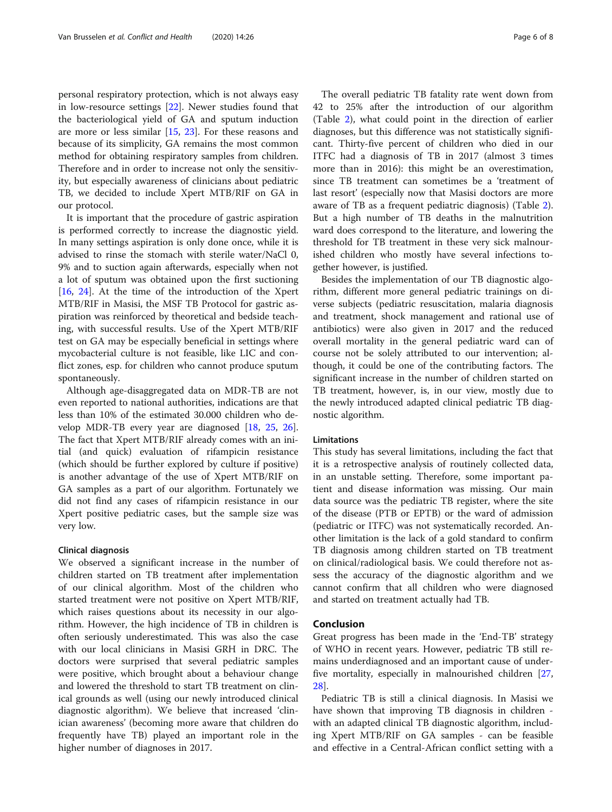personal respiratory protection, which is not always easy in low-resource settings [[22\]](#page-6-0). Newer studies found that the bacteriological yield of GA and sputum induction are more or less similar  $[15, 23]$  $[15, 23]$  $[15, 23]$  $[15, 23]$  $[15, 23]$ . For these reasons and because of its simplicity, GA remains the most common method for obtaining respiratory samples from children. Therefore and in order to increase not only the sensitivity, but especially awareness of clinicians about pediatric TB, we decided to include Xpert MTB/RIF on GA in our protocol.

It is important that the procedure of gastric aspiration is performed correctly to increase the diagnostic yield. In many settings aspiration is only done once, while it is advised to rinse the stomach with sterile water/NaCl 0, 9% and to suction again afterwards, especially when not a lot of sputum was obtained upon the first suctioning [[16,](#page-6-0) [24](#page-7-0)]. At the time of the introduction of the Xpert MTB/RIF in Masisi, the MSF TB Protocol for gastric aspiration was reinforced by theoretical and bedside teaching, with successful results. Use of the Xpert MTB/RIF test on GA may be especially beneficial in settings where mycobacterial culture is not feasible, like LIC and conflict zones, esp. for children who cannot produce sputum spontaneously.

Although age-disaggregated data on MDR-TB are not even reported to national authorities, indications are that less than 10% of the estimated 30.000 children who develop MDR-TB every year are diagnosed [\[18](#page-6-0), [25](#page-7-0), [26](#page-7-0)]. The fact that Xpert MTB/RIF already comes with an initial (and quick) evaluation of rifampicin resistance (which should be further explored by culture if positive) is another advantage of the use of Xpert MTB/RIF on GA samples as a part of our algorithm. Fortunately we did not find any cases of rifampicin resistance in our Xpert positive pediatric cases, but the sample size was very low.

#### Clinical diagnosis

We observed a significant increase in the number of children started on TB treatment after implementation of our clinical algorithm. Most of the children who started treatment were not positive on Xpert MTB/RIF, which raises questions about its necessity in our algorithm. However, the high incidence of TB in children is often seriously underestimated. This was also the case with our local clinicians in Masisi GRH in DRC. The doctors were surprised that several pediatric samples were positive, which brought about a behaviour change and lowered the threshold to start TB treatment on clinical grounds as well (using our newly introduced clinical diagnostic algorithm). We believe that increased 'clinician awareness' (becoming more aware that children do frequently have TB) played an important role in the higher number of diagnoses in 2017.

The overall pediatric TB fatality rate went down from 42 to 25% after the introduction of our algorithm (Table [2\)](#page-4-0), what could point in the direction of earlier diagnoses, but this difference was not statistically significant. Thirty-five percent of children who died in our ITFC had a diagnosis of TB in 2017 (almost 3 times more than in 2016): this might be an overestimation, since TB treatment can sometimes be a 'treatment of last resort' (especially now that Masisi doctors are more aware of TB as a frequent pediatric diagnosis) (Table [2](#page-4-0)). But a high number of TB deaths in the malnutrition ward does correspond to the literature, and lowering the threshold for TB treatment in these very sick malnourished children who mostly have several infections together however, is justified.

Besides the implementation of our TB diagnostic algorithm, different more general pediatric trainings on diverse subjects (pediatric resuscitation, malaria diagnosis and treatment, shock management and rational use of antibiotics) were also given in 2017 and the reduced overall mortality in the general pediatric ward can of course not be solely attributed to our intervention; although, it could be one of the contributing factors. The significant increase in the number of children started on TB treatment, however, is, in our view, mostly due to the newly introduced adapted clinical pediatric TB diagnostic algorithm.

#### **Limitations**

This study has several limitations, including the fact that it is a retrospective analysis of routinely collected data, in an unstable setting. Therefore, some important patient and disease information was missing. Our main data source was the pediatric TB register, where the site of the disease (PTB or EPTB) or the ward of admission (pediatric or ITFC) was not systematically recorded. Another limitation is the lack of a gold standard to confirm TB diagnosis among children started on TB treatment on clinical/radiological basis. We could therefore not assess the accuracy of the diagnostic algorithm and we cannot confirm that all children who were diagnosed and started on treatment actually had TB.

#### Conclusion

Great progress has been made in the 'End-TB' strategy of WHO in recent years. However, pediatric TB still remains underdiagnosed and an important cause of underfive mortality, especially in malnourished children [[27](#page-7-0), [28\]](#page-7-0).

Pediatric TB is still a clinical diagnosis. In Masisi we have shown that improving TB diagnosis in children with an adapted clinical TB diagnostic algorithm, including Xpert MTB/RIF on GA samples - can be feasible and effective in a Central-African conflict setting with a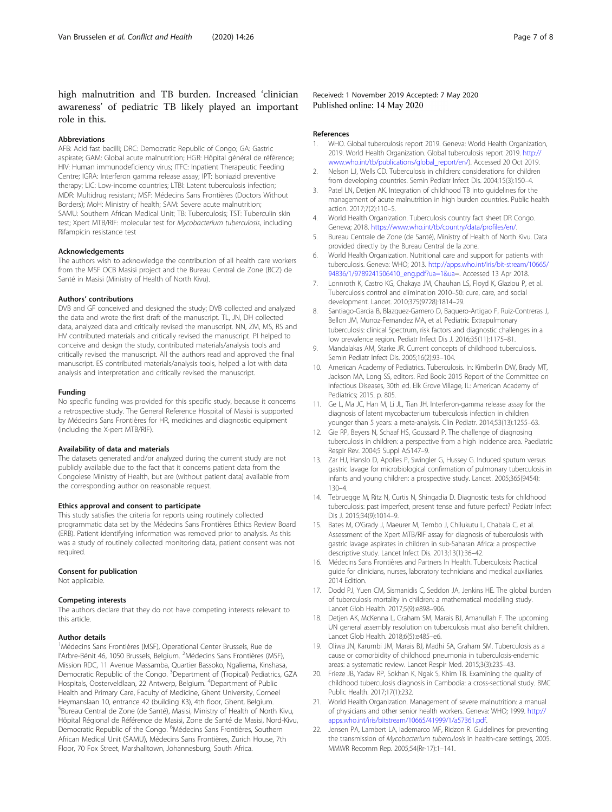<span id="page-6-0"></span>high malnutrition and TB burden. Increased 'clinician awareness' of pediatric TB likely played an important role in this.

#### Abbreviations

AFB: Acid fast bacilli; DRC: Democratic Republic of Congo; GA: Gastric aspirate; GAM: Global acute malnutrition; HGR: Hôpital général de référence; HIV: Human immunodeficiency virus; ITFC: Inpatient Therapeutic Feeding Centre; IGRA: Interferon gamma release assay; IPT: Isoniazid preventive therapy; LIC: Low-income countries; LTBI: Latent tuberculosis infection; MDR: Multidrug resistant; MSF: Médecins Sans Frontières (Doctors Without Borders); MoH: Ministry of health; SAM: Severe acute malnutrition; SAMU: Southern African Medical Unit; TB: Tuberculosis; TST: Tuberculin skin test; Xpert MTB/RIF: molecular test for Mycobacterium tuberculosis, including Rifampicin resistance test

#### Acknowledgements

The authors wish to acknowledge the contribution of all health care workers from the MSF OCB Masisi project and the Bureau Central de Zone (BCZ) de Santé in Masisi (Ministry of Health of North Kivu).

#### Authors' contributions

DVB and GF conceived and designed the study; DVB collected and analyzed the data and wrote the first draft of the manuscript. TL, JN, DH collected data, analyzed data and critically revised the manuscript. NN, ZM, MS, RS and HV contributed materials and critically revised the manuscript. PI helped to conceive and design the study, contributed materials/analysis tools and critically revised the manuscript. All the authors read and approved the final manuscript. ES contributed materials/analysis tools, helped a lot with data analysis and interpretation and critically revised the manuscript.

#### Funding

No specific funding was provided for this specific study, because it concerns a retrospective study. The General Reference Hospital of Masisi is supported by Médecins Sans Frontières for HR, medicines and diagnostic equipment (including the X-pert MTB/RIF).

#### Availability of data and materials

The datasets generated and/or analyzed during the current study are not publicly available due to the fact that it concerns patient data from the Congolese Ministry of Health, but are (without patient data) available from the corresponding author on reasonable request.

#### Ethics approval and consent to participate

This study satisfies the criteria for reports using routinely collected programmatic data set by the Médecins Sans Frontières Ethics Review Board (ERB). Patient identifying information was removed prior to analysis. As this was a study of routinely collected monitoring data, patient consent was not required.

#### Consent for publication

Not applicable.

#### Competing interests

The authors declare that they do not have competing interests relevant to this article.

#### Author details

<sup>1</sup>Médecins Sans Frontières (MSF), Operational Center Brussels, Rue de l'Arbre-Bénit 46, 1050 Brussels, Belgium. <sup>2</sup>Médecins Sans Frontières (MSF), Mission RDC, 11 Avenue Massamba, Quartier Bassoko, Ngaliema, Kinshasa, Democratic Republic of the Congo. <sup>3</sup>Department of (Tropical) Pediatrics, GZA Hospitals, Oosterveldlaan, 22 Antwerp, Belgium. <sup>4</sup>Department of Public Health and Primary Care, Faculty of Medicine, Ghent University, Corneel Heymanslaan 10, entrance 42 (building K3), 4th floor, Ghent, Belgium. 5 Bureau Central de Zone (de Santé), Masisi, Ministry of Health of North Kivu, Hôpital Régional de Référence de Masisi, Zone de Santé de Masisi, Nord-Kivu, Democratic Republic of the Congo. <sup>6</sup>Médecins Sans Frontières, Southern African Medical Unit (SAMU), Médecins Sans Frontières, Zurich House, 7th Floor, 70 Fox Street, Marshalltown, Johannesburg, South Africa.

#### Received: 1 November 2019 Accepted: 7 May 2020 Published online: 14 May 2020

#### References

- 1. WHO. Global tuberculosis report 2019. Geneva: World Health Organization, 2019. World Health Organization. Global tuberculosis report 2019. [http://](http://www.who.int/tb/publications/global_report/en/) [www.who.int/tb/publications/global\\_report/en/](http://www.who.int/tb/publications/global_report/en/)). Accessed 20 Oct 2019.
- 2. Nelson LJ, Wells CD. Tuberculosis in children: considerations for children from developing countries. Semin Pediatr Infect Dis. 2004;15(3):150–4.
- 3. Patel LN, Detjen AK. Integration of childhood TB into guidelines for the management of acute malnutrition in high burden countries. Public health action. 2017;7(2):110–5.
- 4. World Health Organization. Tuberculosis country fact sheet DR Congo. Geneva; 2018. <https://www.who.int/tb/country/data/profiles/en/>.
- 5. Bureau Centrale de Zone (de Santé), Ministry of Health of North Kivu. Data provided directly by the Bureau Central de la zone.
- 6. World Health Organization. Nutritional care and support for patients with tuberculosis. Geneva: WHO; 2013. [http://apps.who.int/iris/bit-stream/10665/](http://apps.who.int/iris/bit-stream/10665/94836/1/9789241506410_eng.pdf?ua=1&ua) [94836/1/9789241506410\\_eng.pdf?ua=1&ua=](http://apps.who.int/iris/bit-stream/10665/94836/1/9789241506410_eng.pdf?ua=1&ua). Accessed 13 Apr 2018.
- 7. Lonnroth K, Castro KG, Chakaya JM, Chauhan LS, Floyd K, Glaziou P, et al. Tuberculosis control and elimination 2010–50: cure, care, and social development. Lancet. 2010;375(9728):1814–29.
- 8. Santiago-Garcia B, Blazquez-Gamero D, Baquero-Artigao F, Ruiz-Contreras J, Bellon JM, Munoz-Fernandez MA, et al. Pediatric Extrapulmonary tuberculosis: clinical Spectrum, risk factors and diagnostic challenges in a low prevalence region. Pediatr Infect Dis J. 2016;35(11):1175–81.
- 9. Mandalakas AM, Starke JR. Current concepts of childhood tuberculosis. Semin Pediatr Infect Dis. 2005;16(2):93–104.
- 10. American Academy of Pediatrics. Tuberculosis. In: Kimberlin DW, Brady MT, Jackson MA, Long SS, editors. Red Book: 2015 Report of the Committee on Infectious Diseases, 30th ed. Elk Grove Village, IL: American Academy of Pediatrics; 2015. p. 805.
- 11. Ge L, Ma JC, Han M, Li JL, Tian JH. Interferon-gamma release assay for the diagnosis of latent mycobacterium tuberculosis infection in children younger than 5 years: a meta-analysis. Clin Pediatr. 2014;53(13):1255–63.
- 12. Gie RP, Beyers N, Schaaf HS, Goussard P. The challenge of diagnosing tuberculosis in children: a perspective from a high incidence area. Paediatric Respir Rev. 2004;5 Suppl A:S147–9.
- 13. Zar HJ, Hanslo D, Apolles P, Swingler G, Hussey G. Induced sputum versus gastric lavage for microbiological confirmation of pulmonary tuberculosis in infants and young children: a prospective study. Lancet. 2005;365(9454): 130–4.
- 14. Tebruegge M, Ritz N, Curtis N, Shingadia D. Diagnostic tests for childhood tuberculosis: past imperfect, present tense and future perfect? Pediatr Infect Dis J. 2015;34(9):1014–9.
- 15. Bates M, O'Grady J, Maeurer M, Tembo J, Chilukutu L, Chabala C, et al. Assessment of the Xpert MTB/RIF assay for diagnosis of tuberculosis with gastric lavage aspirates in children in sub-Saharan Africa: a prospective descriptive study. Lancet Infect Dis. 2013;13(1):36–42.
- 16. Médecins Sans Frontières and Partners In Health. Tuberculosis: Practical guide for clinicians, nurses, laboratory technicians and medical auxiliaries. 2014 Edition.
- 17. Dodd PJ, Yuen CM, Sismanidis C, Seddon JA, Jenkins HE. The global burden of tuberculosis mortality in children: a mathematical modelling study. Lancet Glob Health. 2017;5(9):e898–906.
- 18. Detjen AK, McKenna L, Graham SM, Marais BJ, Amanullah F. The upcoming UN general assembly resolution on tuberculosis must also benefit children. Lancet Glob Health. 2018;6(5):e485–e6.
- 19. Oliwa JN, Karumbi JM, Marais BJ, Madhi SA, Graham SM. Tuberculosis as a cause or comorbidity of childhood pneumonia in tuberculosis-endemic areas: a systematic review. Lancet Respir Med. 2015;3(3):235–43.
- 20. Frieze JB, Yadav RP, Sokhan K, Ngak S, Khim TB. Examining the quality of childhood tuberculosis diagnosis in Cambodia: a cross-sectional study. BMC Public Health. 2017;17(1):232.
- 21. World Health Organization. Management of severe malnutrition: a manual of physicians and other senior health workers. Geneva: WHO; 1999. [http://](http://apps.who.int/iris/bitstream/10665/41999/1/a57361.pdf) [apps.who.int/iris/bitstream/10665/41999/1/a57361.pdf](http://apps.who.int/iris/bitstream/10665/41999/1/a57361.pdf).
- 22. Jensen PA, Lambert LA, Iademarco MF, Ridzon R. Guidelines for preventing the transmission of Mycobacterium tuberculosis in health-care settings, 2005. MMWR Recomm Rep. 2005;54(Rr-17):1–141.